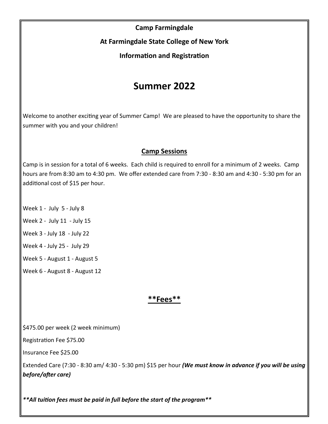## **Camp Farmingdale**

**At Farmingdale State College of New York**

**Information and Registration** 

## **Summer 2022**

Welcome to another exciting year of Summer Camp! We are pleased to have the opportunity to share the summer with you and your children!

## **Camp Sessions**

Camp is in session for a total of 6 weeks. Each child is required to enroll for a minimum of 2 weeks. Camp hours are from 8:30 am to 4:30 pm. We offer extended care from 7:30 - 8:30 am and 4:30 - 5:30 pm for an additional cost of \$15 per hour.

- Week 1 July 5 July 8
- Week 2 July 11 July 15
- Week 3 July 18 July 22
- Week 4 July 25 July 29
- Week 5 August 1 August 5
- Week 6 August 8 August 12

## **\*\*Fees\*\***

\$475.00 per week (2 week minimum)

Registration Fee \$75.00

Insurance Fee \$25.00

Extended Care (7:30 - 8:30 am/ 4:30 - 5:30 pm) \$15 per hour *(We must know in advance if you will be using before/after care)*

*\*\*All tuition fees must be paid in full before the start of the program\*\**